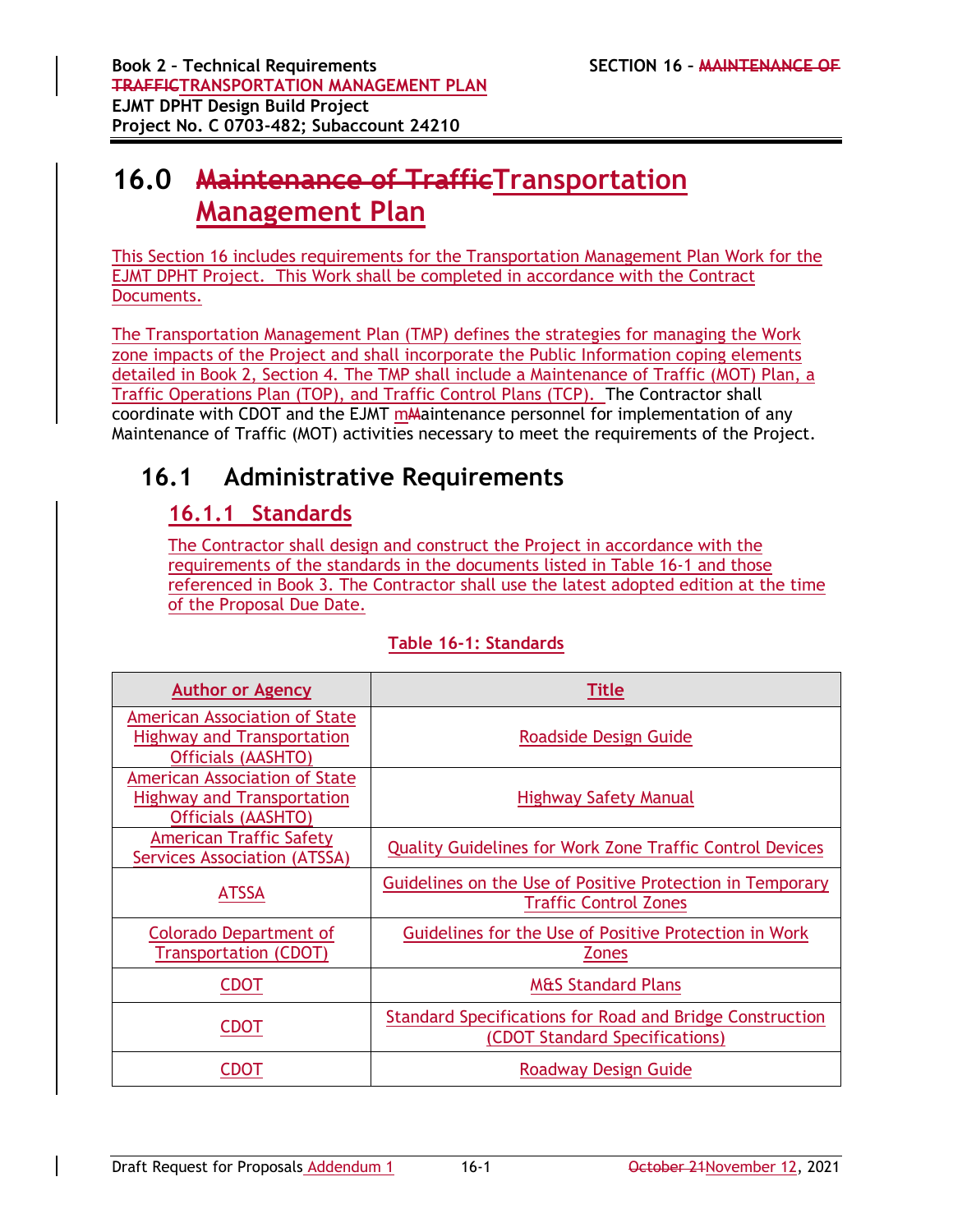# **16.0 Maintenance of TrafficTransportation Management Plan**

This Section 16 includes requirements for the Transportation Management Plan Work for the EJMT DPHT Project. This Work shall be completed in accordance with the Contract Documents.

The Transportation Management Plan (TMP) defines the strategies for managing the Work zone impacts of the Project and shall incorporate the Public Information coping elements detailed in Book 2, Section 4. The TMP shall include a Maintenance of Traffic (MOT) Plan, a Traffic Operations Plan (TOP), and Traffic Control Plans (TCP). The Contractor shall coordinate with CDOT and the EJMT mA aintenance personnel for implementation of any Maintenance of Traffic (MOT) activities necessary to meet the requirements of the Project.

# **16.1 Administrative Requirements**

## **16.1.1 Standards**

The Contractor shall design and construct the Project in accordance with the requirements of the standards in the documents listed in Table 16-1 and those referenced in Book 3. The Contractor shall use the latest adopted edition at the time of the Proposal Due Date.

| <b>Author or Agency</b>                                                                                | <b>Title</b>                                                                               |
|--------------------------------------------------------------------------------------------------------|--------------------------------------------------------------------------------------------|
| <b>American Association of State</b><br><b>Highway and Transportation</b><br><b>Officials (AASHTO)</b> | Roadside Design Guide                                                                      |
| <b>American Association of State</b><br><b>Highway and Transportation</b><br>Officials (AASHTO)        | <b>Highway Safety Manual</b>                                                               |
| <b>American Traffic Safety</b><br><b>Services Association (ATSSA)</b>                                  | <b>Quality Guidelines for Work Zone Traffic Control Devices</b>                            |
| <b>ATSSA</b>                                                                                           | Guidelines on the Use of Positive Protection in Temporary<br><b>Traffic Control Zones</b>  |
| Colorado Department of<br><b>Transportation (CDOT)</b>                                                 | Guidelines for the Use of Positive Protection in Work<br><b>Zones</b>                      |
| <b>CDOT</b>                                                                                            | <b>M&amp;S Standard Plans</b>                                                              |
| <b>CDOT</b>                                                                                            | Standard Specifications for Road and Bridge Construction<br>(CDOT Standard Specifications) |
| CDOT                                                                                                   | Roadway Design Guide                                                                       |

### **Table 16-1: Standards**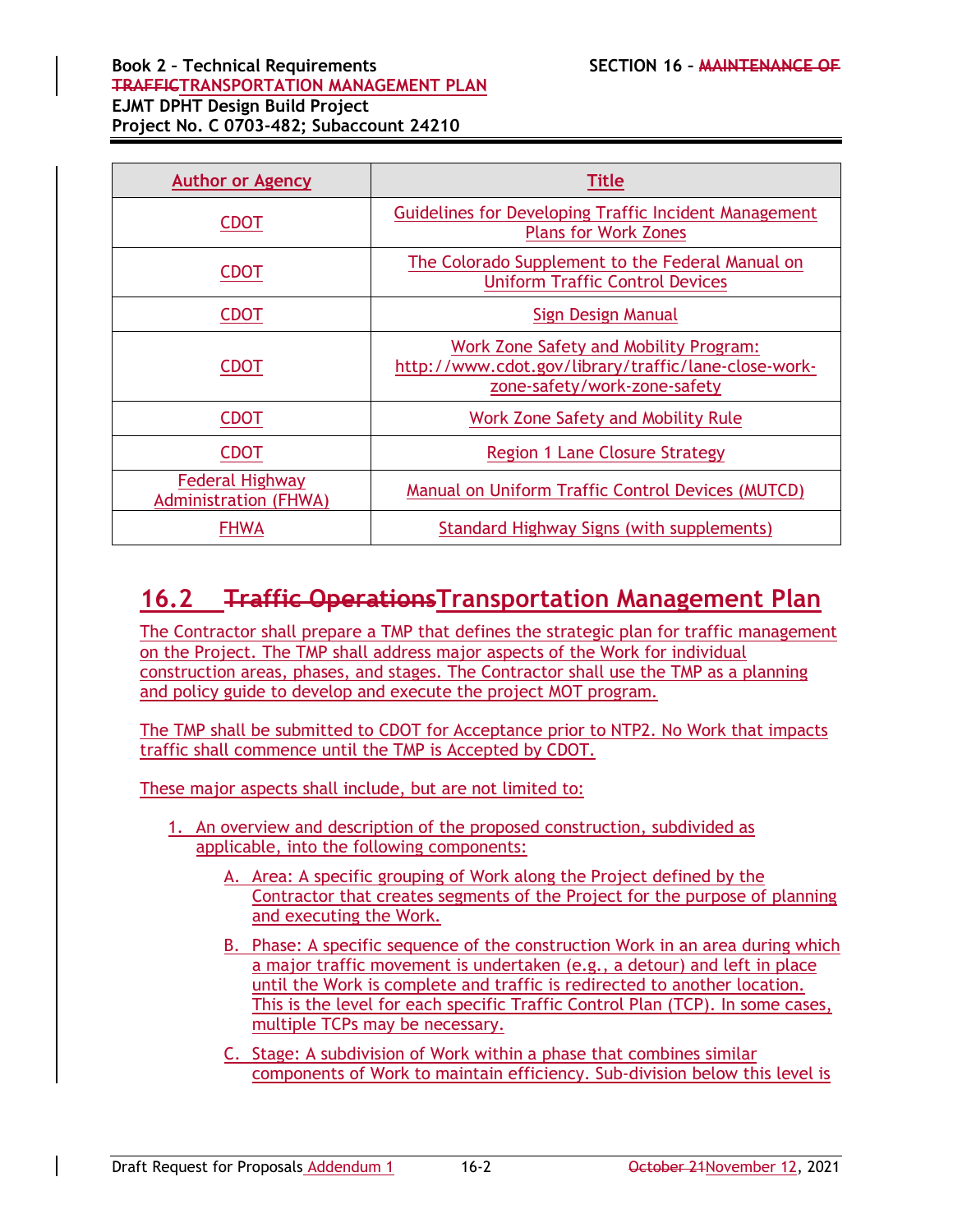#### **Book 2 – Technical Requirements SECTION 16 – MAINTENANCE OF TRAFFICTRANSPORTATION MANAGEMENT PLAN EJMT DPHT Design Build Project Project No. C 0703-482; Subaccount 24210**

| <b>Author or Agency</b>                                | <b>Title</b>                                                                                                                   |  |
|--------------------------------------------------------|--------------------------------------------------------------------------------------------------------------------------------|--|
| <b>CDOT</b>                                            | Guidelines for Developing Traffic Incident Management<br><b>Plans for Work Zones</b>                                           |  |
| CDOT                                                   | The Colorado Supplement to the Federal Manual on<br><b>Uniform Traffic Control Devices</b>                                     |  |
| <b>CDOT</b>                                            | Sign Design Manual                                                                                                             |  |
| CDOT                                                   | Work Zone Safety and Mobility Program:<br>http://www.cdot.gov/library/traffic/lane-close-work-<br>zone-safety/work-zone-safety |  |
| <b>CDOT</b>                                            | Work Zone Safety and Mobility Rule                                                                                             |  |
| CDOT                                                   | <b>Region 1 Lane Closure Strategy</b>                                                                                          |  |
| <b>Federal Highway</b><br><b>Administration (FHWA)</b> | Manual on Uniform Traffic Control Devices (MUTCD)                                                                              |  |
| <b>FHWA</b>                                            | <b>Standard Highway Signs (with supplements)</b>                                                                               |  |

# **16.2 Traffic OperationsTransportation Management Plan**

The Contractor shall prepare a TMP that defines the strategic plan for traffic management on the Project. The TMP shall address major aspects of the Work for individual construction areas, phases, and stages. The Contractor shall use the TMP as a planning and policy guide to develop and execute the project MOT program.

The TMP shall be submitted to CDOT for Acceptance prior to NTP2. No Work that impacts traffic shall commence until the TMP is Accepted by CDOT.

These major aspects shall include, but are not limited to:

- 1. An overview and description of the proposed construction, subdivided as applicable, into the following components:
	- A. Area: A specific grouping of Work along the Project defined by the Contractor that creates segments of the Project for the purpose of planning and executing the Work.
	- B. Phase: A specific sequence of the construction Work in an area during which a major traffic movement is undertaken (e.g., a detour) and left in place until the Work is complete and traffic is redirected to another location. This is the level for each specific Traffic Control Plan (TCP). In some cases, multiple TCPs may be necessary.
	- C. Stage: A subdivision of Work within a phase that combines similar components of Work to maintain efficiency. Sub-division below this level is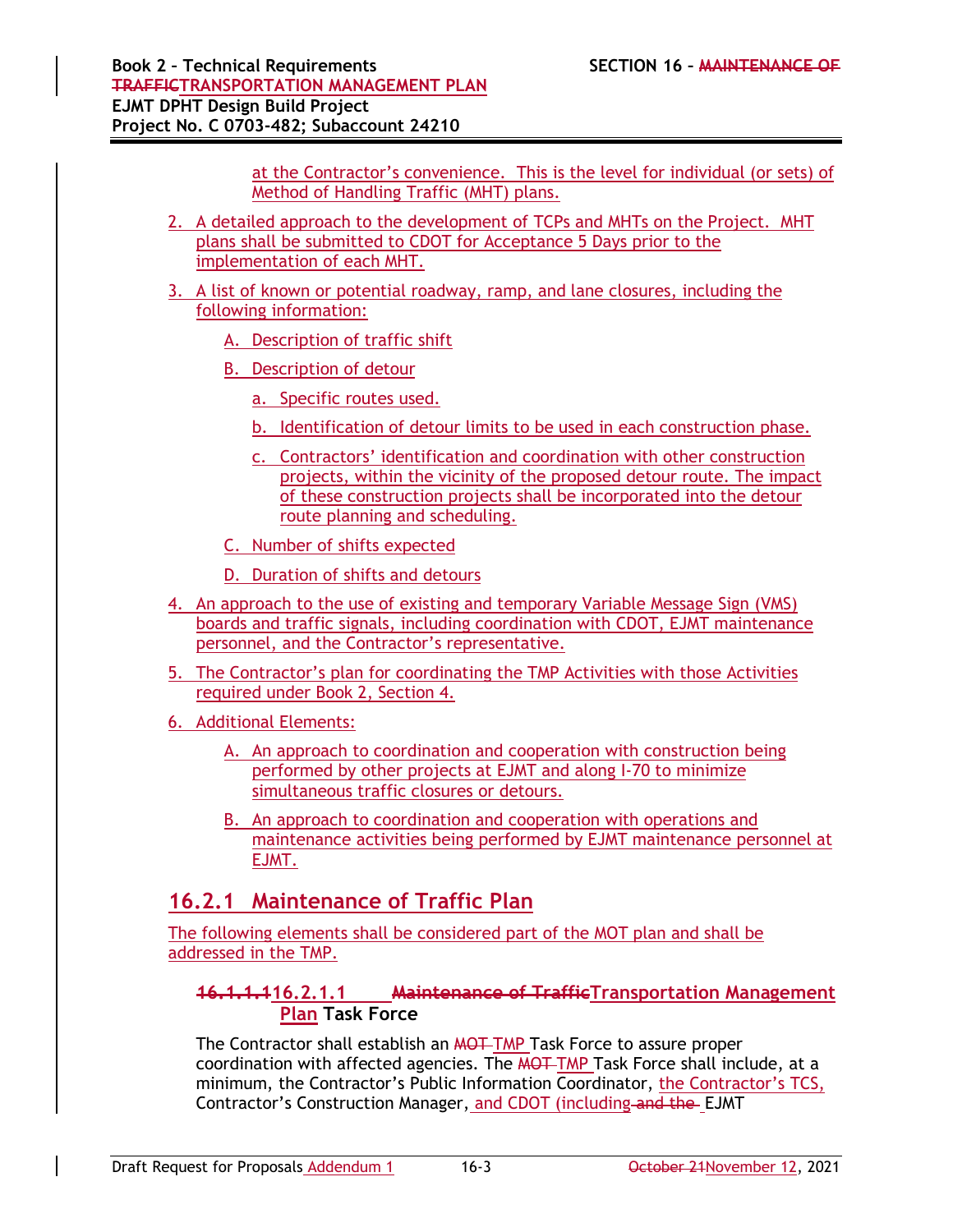at the Contractor's convenience. This is the level for individual (or sets) of Method of Handling Traffic (MHT) plans.

- 2. A detailed approach to the development of TCPs and MHTs on the Project. MHT plans shall be submitted to CDOT for Acceptance 5 Days prior to the implementation of each MHT.
- 3. A list of known or potential roadway, ramp, and lane closures, including the following information:
	- A. Description of traffic shift
	- B. Description of detour
		- a. Specific routes used.
		- b. Identification of detour limits to be used in each construction phase.
		- c. Contractors' identification and coordination with other construction projects, within the vicinity of the proposed detour route. The impact of these construction projects shall be incorporated into the detour route planning and scheduling.
	- C. Number of shifts expected

D. Duration of shifts and detours

- 4. An approach to the use of existing and temporary Variable Message Sign (VMS) boards and traffic signals, including coordination with CDOT, EJMT maintenance personnel, and the Contractor's representative.
- 5. The Contractor's plan for coordinating the TMP Activities with those Activities required under Book 2, Section 4.

6. Additional Elements:

- A. An approach to coordination and cooperation with construction being performed by other projects at EJMT and along I-70 to minimize simultaneous traffic closures or detours.
- B. An approach to coordination and cooperation with operations and maintenance activities being performed by EJMT maintenance personnel at EJMT.

### **16.2.1 Maintenance of Traffic Plan**

The following elements shall be considered part of the MOT plan and shall be addressed in the TMP.

### **16.1.1.116.2.1.1 Maintenance of TrafficTransportation Management Plan Task Force**

The Contractor shall establish an **MOT** TMP Task Force to assure proper coordination with affected agencies. The MOT TMP Task Force shall include, at a minimum, the Contractor's Public Information Coordinator, the Contractor's TCS, Contractor's Construction Manager, and CDOT (including and the EJMT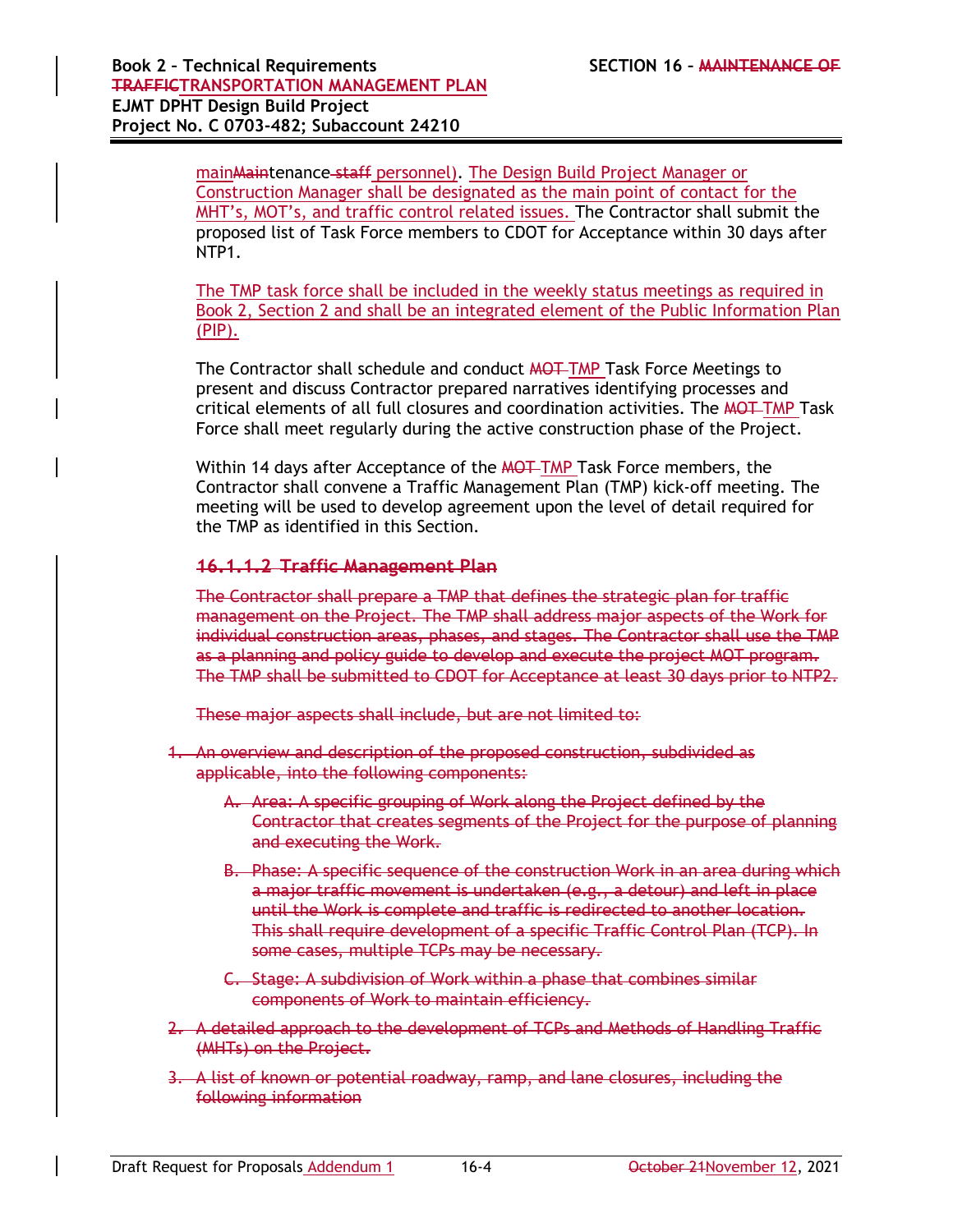main Maintenance staff personnel). The Design Build Project Manager or Construction Manager shall be designated as the main point of contact for the MHT's, MOT's, and traffic control related issues. The Contractor shall submit the proposed list of Task Force members to CDOT for Acceptance within 30 days after NTP1.

The TMP task force shall be included in the weekly status meetings as required in Book 2, Section 2 and shall be an integrated element of the Public Information Plan (PIP).

The Contractor shall schedule and conduct MOT TMP Task Force Meetings to present and discuss Contractor prepared narratives identifying processes and critical elements of all full closures and coordination activities. The MOT-TMP Task Force shall meet regularly during the active construction phase of the Project.

Within 14 days after Acceptance of the MOT TMP Task Force members, the Contractor shall convene a Traffic Management Plan (TMP) kick-off meeting. The meeting will be used to develop agreement upon the level of detail required for the TMP as identified in this Section.

#### **16.1.1.2 Traffic Management Plan**

The Contractor shall prepare a TMP that defines the strategic plan for traffic management on the Project. The TMP shall address major aspects of the Work for individual construction areas, phases, and stages. The Contractor shall use the TMP as a planning and policy guide to develop and execute the project MOT program. The TMP shall be submitted to CDOT for Acceptance at least 30 days prior to NTP2.

These major aspects shall include, but are not limited to:

- 1. An overview and description of the proposed construction, subdivided as applicable, into the following components:
	- A. Area: A specific grouping of Work along the Project defined by the Contractor that creates segments of the Project for the purpose of planning and executing the Work.
	- B. Phase: A specific sequence of the construction Work in an area during which a major traffic movement is undertaken (e.g., a detour) and left in place until the Work is complete and traffic is redirected to another location. This shall require development of a specific Traffic Control Plan (TCP). In some cases, multiple TCPs may be necessary.
	- C. Stage: A subdivision of Work within a phase that combines similar components of Work to maintain efficiency.
- 2. A detailed approach to the development of TCPs and Methods of Handling Traffic (MHTs) on the Project.
- 3. A list of known or potential roadway, ramp, and lane closures, including the following information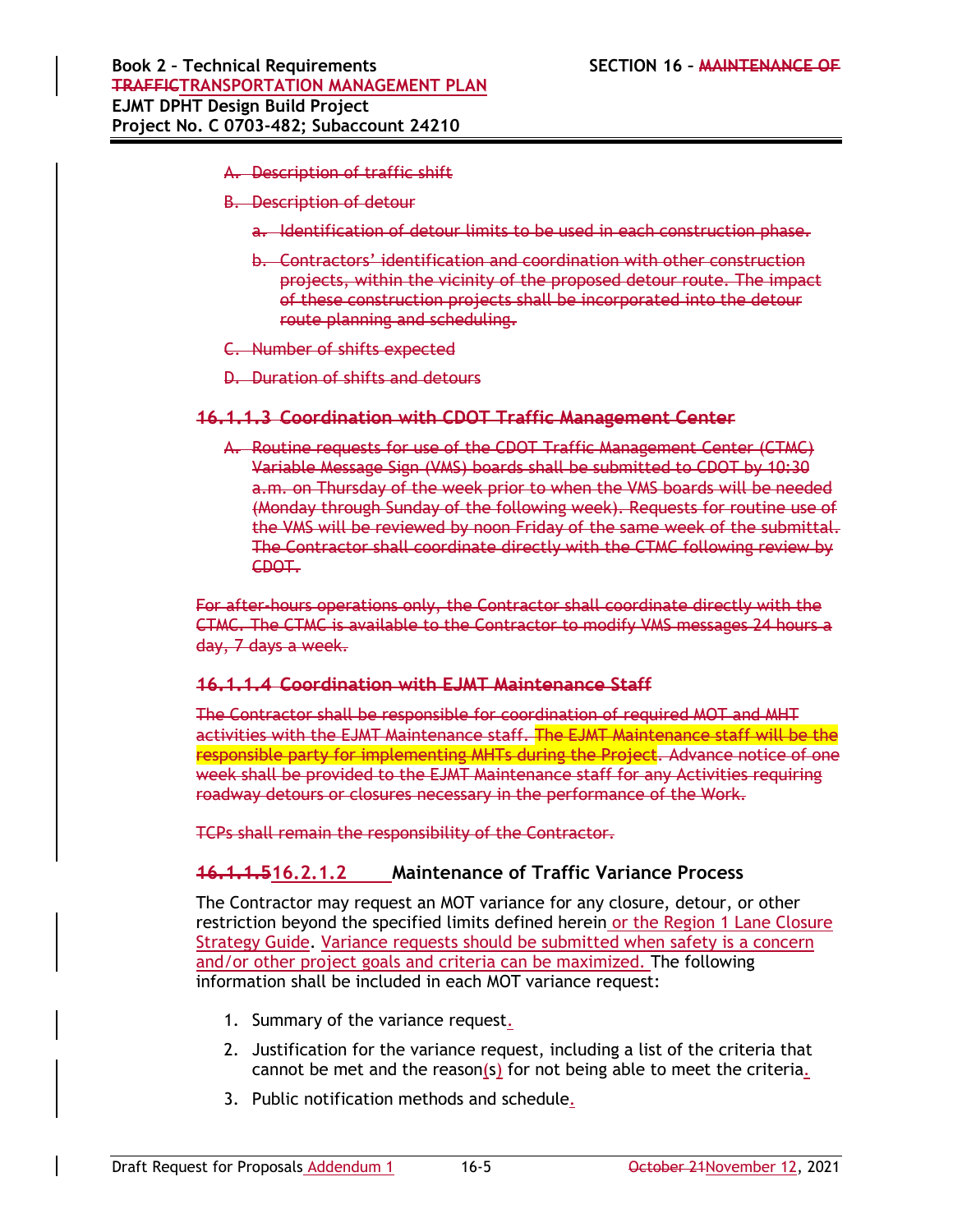- A. Description of traffic shift
- B. Description of detour
	- a. Identification of detour limits to be used in each construction phase.
	- b. Contractors' identification and coordination with other construction projects, within the vicinity of the proposed detour route. The impact of these construction projects shall be incorporated into the detour route planning and scheduling.
- C. Number of shifts expected
- D. Duration of shifts and detours

#### **16.1.1.3 Coordination with CDOT Traffic Management Center**

A. Routine requests for use of the CDOT Traffic Management Center (CTMC) Variable Message Sign (VMS) boards shall be submitted to CDOT by 10:30 a.m. on Thursday of the week prior to when the VMS boards will be needed (Monday through Sunday of the following week). Requests for routine use of the VMS will be reviewed by noon Friday of the same week of the submittal. The Contractor shall coordinate directly with the CTMC following review by CDOT.

For after-hours operations only, the Contractor shall coordinate directly with the CTMC. The CTMC is available to the Contractor to modify VMS messages 24 hours a day, 7 days a week.

#### **16.1.1.4 Coordination with EJMT Maintenance Staff**

The Contractor shall be responsible for coordination of required MOT and MHT activities with the EJMT Maintenance staff. The EJMT Maintenance staff will be the responsible party for implementing MHTs during the Project. Advance notice of one week shall be provided to the EJMT Maintenance staff for any Activities requiring roadway detours or closures necessary in the performance of the Work.

TCPs shall remain the responsibility of the Contractor.

### **16.1.1.516.2.1.2 Maintenance of Traffic Variance Process**

The Contractor may request an MOT variance for any closure, detour, or other restriction beyond the specified limits defined herein or the Region 1 Lane Closure Strategy Guide. Variance requests should be submitted when safety is a concern and/or other project goals and criteria can be maximized. The following information shall be included in each MOT variance request:

- 1. Summary of the variance request.
- 2. Justification for the variance request, including a list of the criteria that cannot be met and the reason(s) for not being able to meet the criteria.
- 3. Public notification methods and schedule.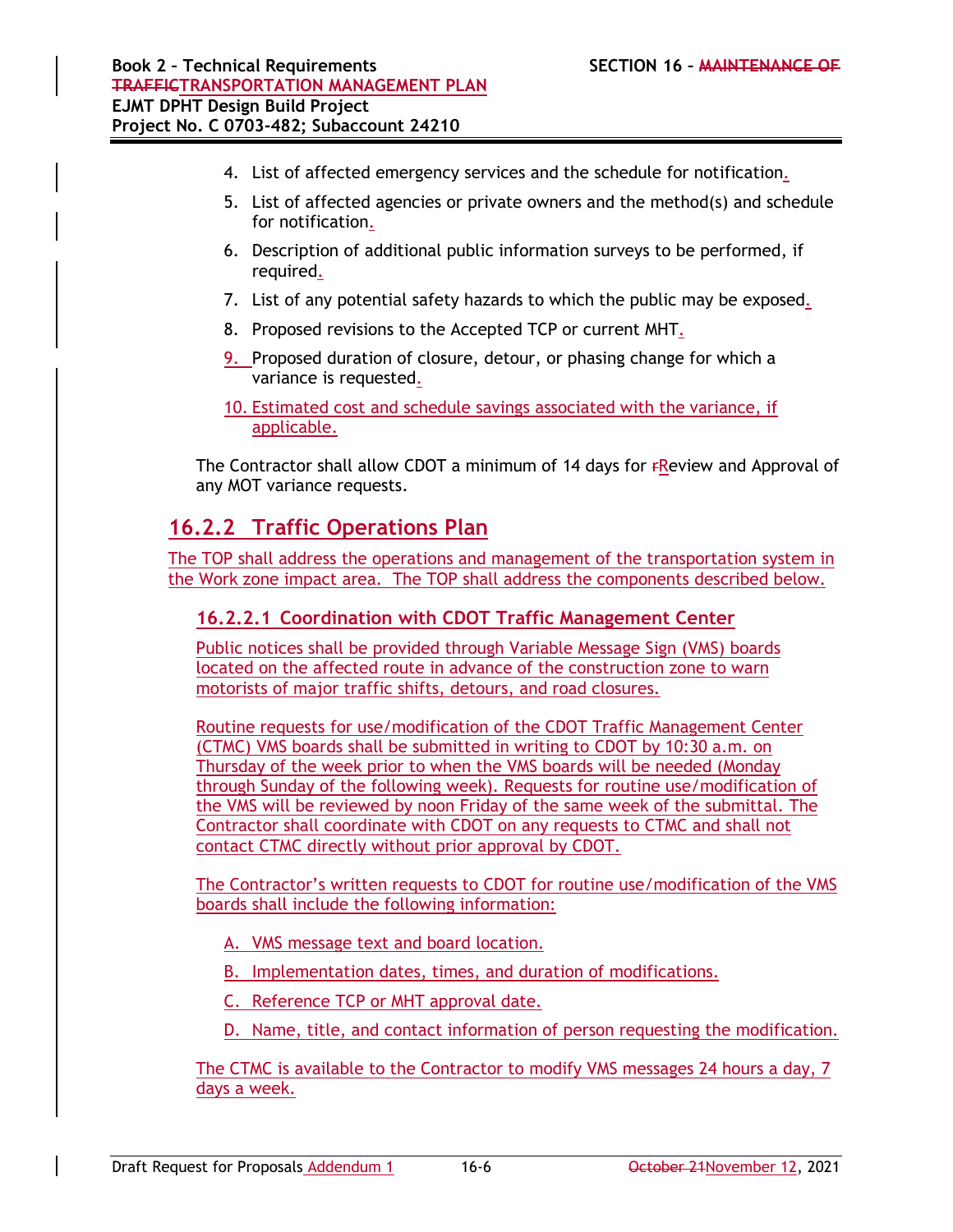- 4. List of affected emergency services and the schedule for notification.
- 5. List of affected agencies or private owners and the method(s) and schedule for notification.
- 6. Description of additional public information surveys to be performed, if required.
- 7. List of any potential safety hazards to which the public may be exposed.
- 8. Proposed revisions to the Accepted TCP or current MHT.
- 9. Proposed duration of closure, detour, or phasing change for which a variance is requested.
- 10. Estimated cost and schedule savings associated with the variance, if applicable.

The Contractor shall allow CDOT a minimum of 14 days for *FReview* and Approval of any MOT variance requests.

## **16.2.2 Traffic Operations Plan**

The TOP shall address the operations and management of the transportation system in the Work zone impact area. The TOP shall address the components described below.

### **16.2.2.1 Coordination with CDOT Traffic Management Center**

Public notices shall be provided through Variable Message Sign (VMS) boards located on the affected route in advance of the construction zone to warn motorists of major traffic shifts, detours, and road closures.

Routine requests for use/modification of the CDOT Traffic Management Center (CTMC) VMS boards shall be submitted in writing to CDOT by 10:30 a.m. on Thursday of the week prior to when the VMS boards will be needed (Monday through Sunday of the following week). Requests for routine use/modification of the VMS will be reviewed by noon Friday of the same week of the submittal. The Contractor shall coordinate with CDOT on any requests to CTMC and shall not contact CTMC directly without prior approval by CDOT.

The Contractor's written requests to CDOT for routine use/modification of the VMS boards shall include the following information:

- A. VMS message text and board location.
- B. Implementation dates, times, and duration of modifications.
- C. Reference TCP or MHT approval date.
- D. Name, title, and contact information of person requesting the modification.

The CTMC is available to the Contractor to modify VMS messages 24 hours a day, 7 days a week.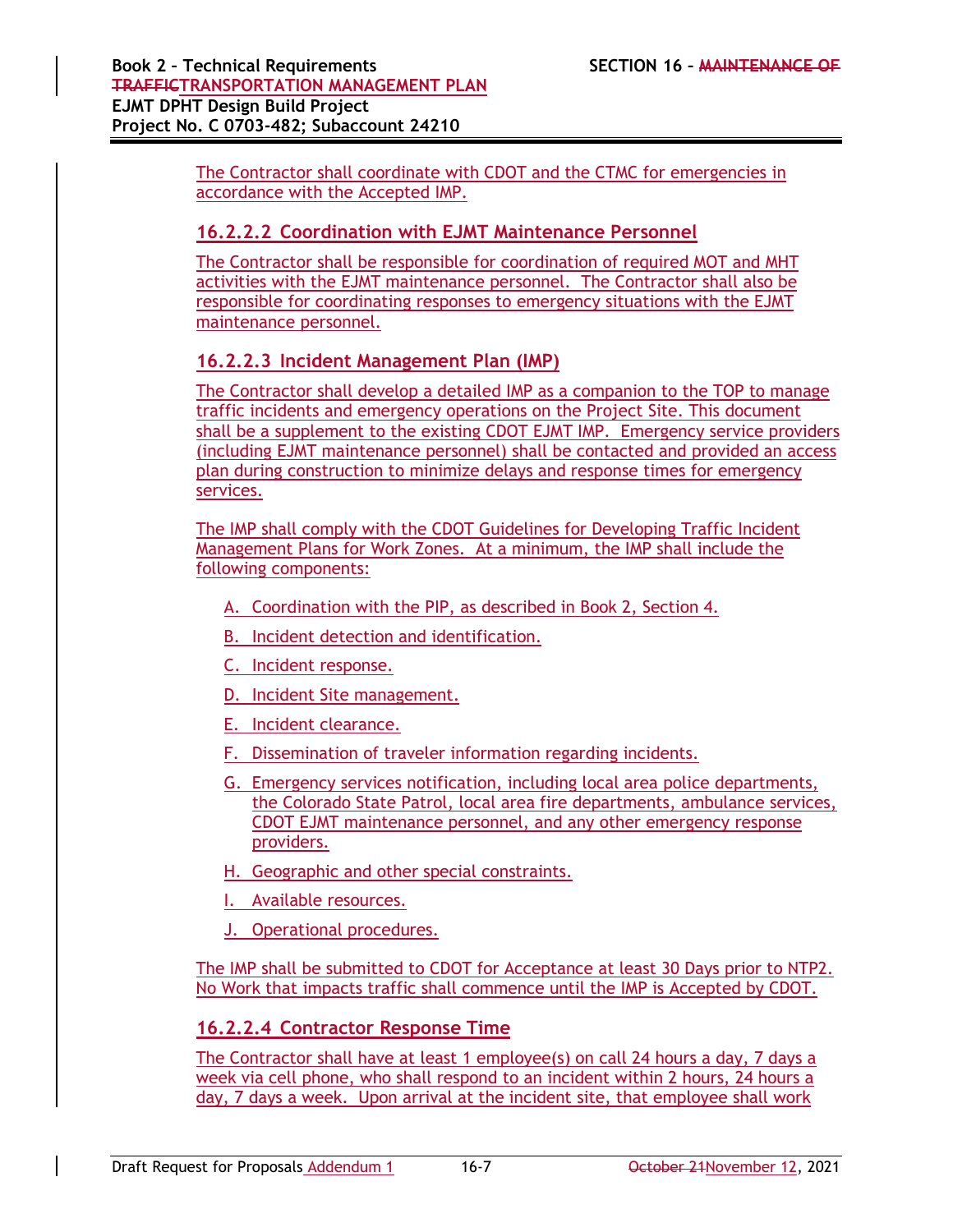The Contractor shall coordinate with CDOT and the CTMC for emergencies in accordance with the Accepted IMP.

#### **16.2.2.2 Coordination with EJMT Maintenance Personnel**

The Contractor shall be responsible for coordination of required MOT and MHT activities with the EJMT maintenance personnel. The Contractor shall also be responsible for coordinating responses to emergency situations with the EJMT maintenance personnel.

#### **16.2.2.3 Incident Management Plan (IMP)**

The Contractor shall develop a detailed IMP as a companion to the TOP to manage traffic incidents and emergency operations on the Project Site. This document shall be a supplement to the existing CDOT EJMT IMP. Emergency service providers (including EJMT maintenance personnel) shall be contacted and provided an access plan during construction to minimize delays and response times for emergency services.

The IMP shall comply with the CDOT Guidelines for Developing Traffic Incident Management Plans for Work Zones. At a minimum, the IMP shall include the following components:

- A. Coordination with the PIP, as described in Book 2, Section 4.
- B. Incident detection and identification.
- C. Incident response.
- D. Incident Site management.
- E. Incident clearance.
- F. Dissemination of traveler information regarding incidents.
- G. Emergency services notification, including local area police departments, the Colorado State Patrol, local area fire departments, ambulance services, CDOT EJMT maintenance personnel, and any other emergency response providers.
- H. Geographic and other special constraints.
- I. Available resources.
- J. Operational procedures.

The IMP shall be submitted to CDOT for Acceptance at least 30 Days prior to NTP2. No Work that impacts traffic shall commence until the IMP is Accepted by CDOT.

#### **16.2.2.4 Contractor Response Time**

The Contractor shall have at least 1 employee(s) on call 24 hours a day, 7 days a week via cell phone, who shall respond to an incident within 2 hours, 24 hours a day, 7 days a week. Upon arrival at the incident site, that employee shall work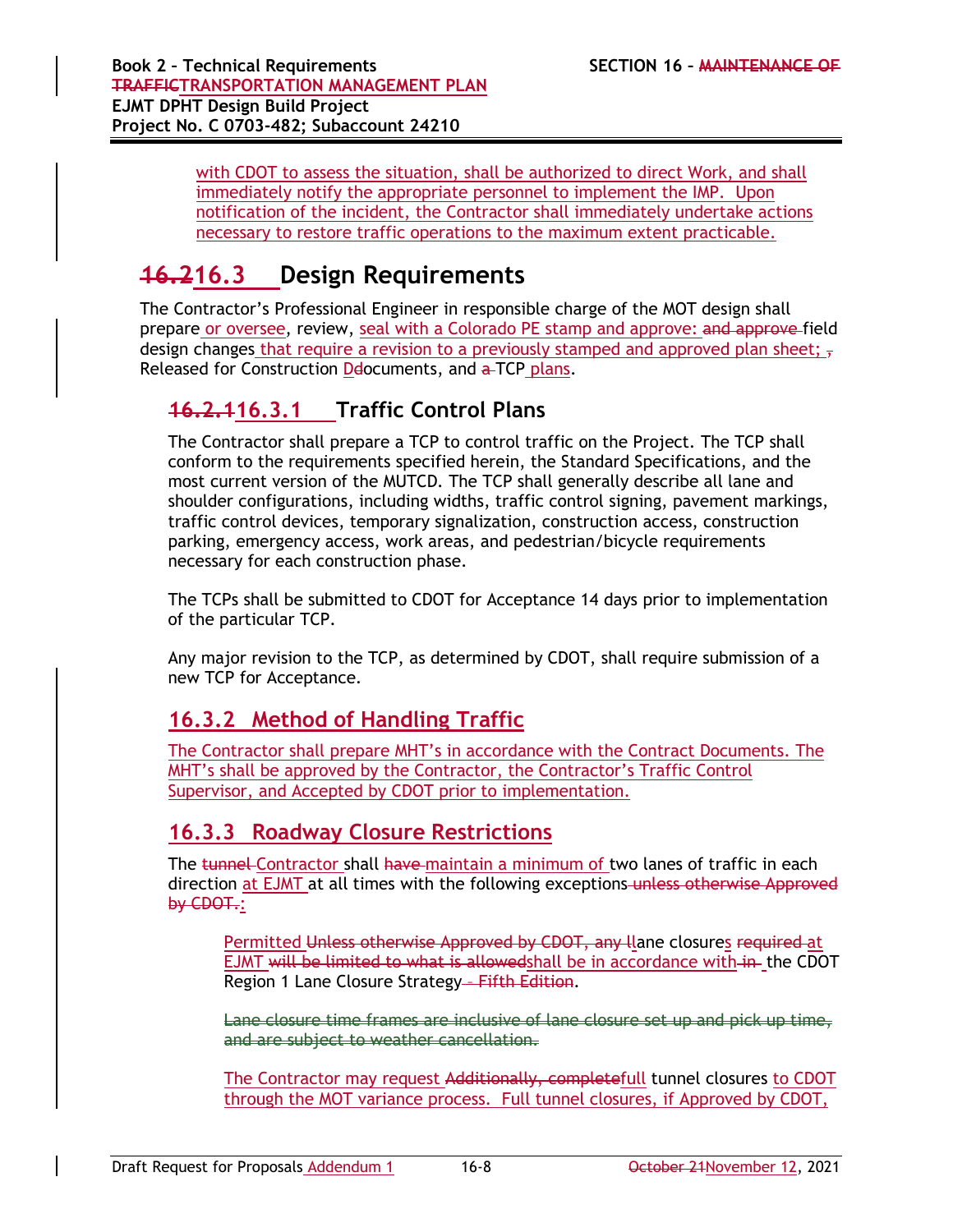with CDOT to assess the situation, shall be authorized to direct Work, and shall immediately notify the appropriate personnel to implement the IMP. Upon notification of the incident, the Contractor shall immediately undertake actions necessary to restore traffic operations to the maximum extent practicable.

# **16.216.3 Design Requirements**

The Contractor's Professional Engineer in responsible charge of the MOT design shall prepare or oversee, review, seal with a Colorado PE stamp and approve: and approve-field design changes that require a revision to a previously stamped and approved plan sheet;  $\frac{1}{2}$ Released for Construction Delocuments, and a TCP plans.

### **16.2.116.3.1 Traffic Control Plans**

The Contractor shall prepare a TCP to control traffic on the Project. The TCP shall conform to the requirements specified herein, the Standard Specifications, and the most current version of the MUTCD. The TCP shall generally describe all lane and shoulder configurations, including widths, traffic control signing, pavement markings, traffic control devices, temporary signalization, construction access, construction parking, emergency access, work areas, and pedestrian/bicycle requirements necessary for each construction phase.

The TCPs shall be submitted to CDOT for Acceptance 14 days prior to implementation of the particular TCP.

Any major revision to the TCP, as determined by CDOT, shall require submission of a new TCP for Acceptance.

### **16.3.2 Method of Handling Traffic**

The Contractor shall prepare MHT's in accordance with the Contract Documents. The MHT's shall be approved by the Contractor, the Contractor's Traffic Control Supervisor, and Accepted by CDOT prior to implementation.

### **16.3.3 Roadway Closure Restrictions**

The tunnel Contractor shall have maintain a minimum of two lanes of traffic in each direction at EJMT at all times with the following exceptions unless otherwise Approved by CDOT.:

Permitted Unless otherwise Approved by CDOT, any llane closures required at EJMT will be limited to what is allowedshall be in accordance with in the CDOT Region 1 Lane Closure Strategy – Fifth Edition.

Lane closure time frames are inclusive of lane closure set up and pick up time, and are subject to weather cancellation.

The Contractor may request Additionally, completefull tunnel closures to CDOT through the MOT variance process. Full tunnel closures, if Approved by CDOT,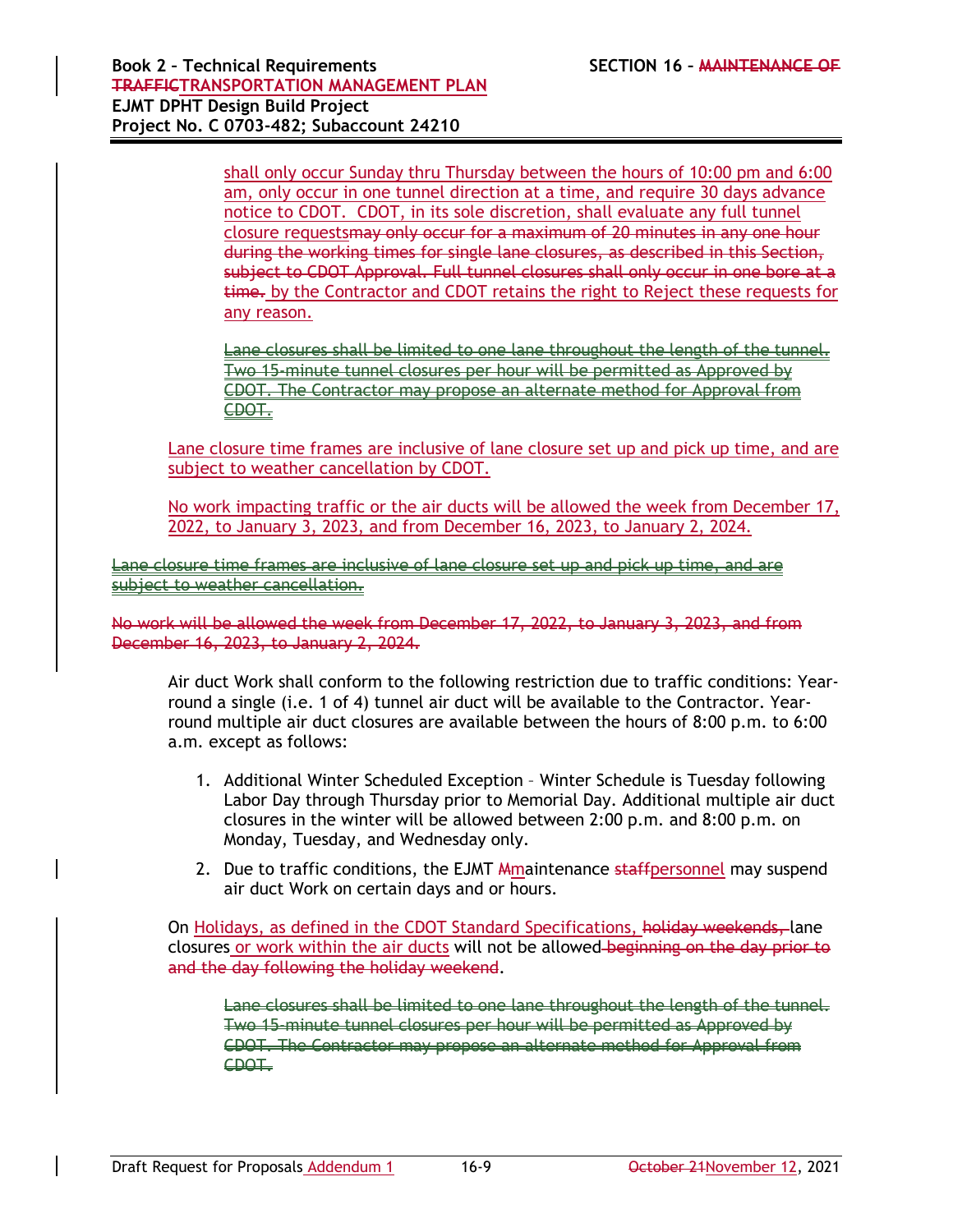shall only occur Sunday thru Thursday between the hours of 10:00 pm and 6:00 am, only occur in one tunnel direction at a time, and require 30 days advance notice to CDOT. CDOT, in its sole discretion, shall evaluate any full tunnel closure requestsmay only occur for a maximum of 20 minutes in any one hour during the working times for single lane closures, as described in this Section, subject to CDOT Approval. Full tunnel closures shall only occur in one bore at a time. by the Contractor and CDOT retains the right to Reject these requests for any reason.

Lane closures shall be limited to one lane throughout the length of the tunnel. Two 15-minute tunnel closures per hour will be permitted as Approved by CDOT. The Contractor may propose an alternate method for Approval from CDOT.

Lane closure time frames are inclusive of lane closure set up and pick up time, and are subject to weather cancellation by CDOT.

No work impacting traffic or the air ducts will be allowed the week from December 17, 2022, to January 3, 2023, and from December 16, 2023, to January 2, 2024.

Lane closure time frames are inclusive of lane closure set up and pick up time, and are subject to weather cancellation.

No work will be allowed the week from December 17, 2022, to January 3, 2023, and from December 16, 2023, to January 2, 2024.

Air duct Work shall conform to the following restriction due to traffic conditions: Yearround a single (i.e. 1 of 4) tunnel air duct will be available to the Contractor. Yearround multiple air duct closures are available between the hours of 8:00 p.m. to 6:00 a.m. except as follows:

- 1. Additional Winter Scheduled Exception Winter Schedule is Tuesday following Labor Day through Thursday prior to Memorial Day. Additional multiple air duct closures in the winter will be allowed between 2:00 p.m. and 8:00 p.m. on Monday, Tuesday, and Wednesday only.
- 2. Due to traffic conditions, the EJMT Amaintenance staffpersonnel may suspend air duct Work on certain days and or hours.

On Holidays, as defined in the CDOT Standard Specifications, holiday weekends, lane closures or work within the air ducts will not be allowed beginning on the day prior to and the day following the holiday weekend.

Lane closures shall be limited to one lane throughout the length of the tunnel. Two 15-minute tunnel closures per hour will be permitted as Approved by CDOT. The Contractor may propose an alternate method for Approval from CDOT.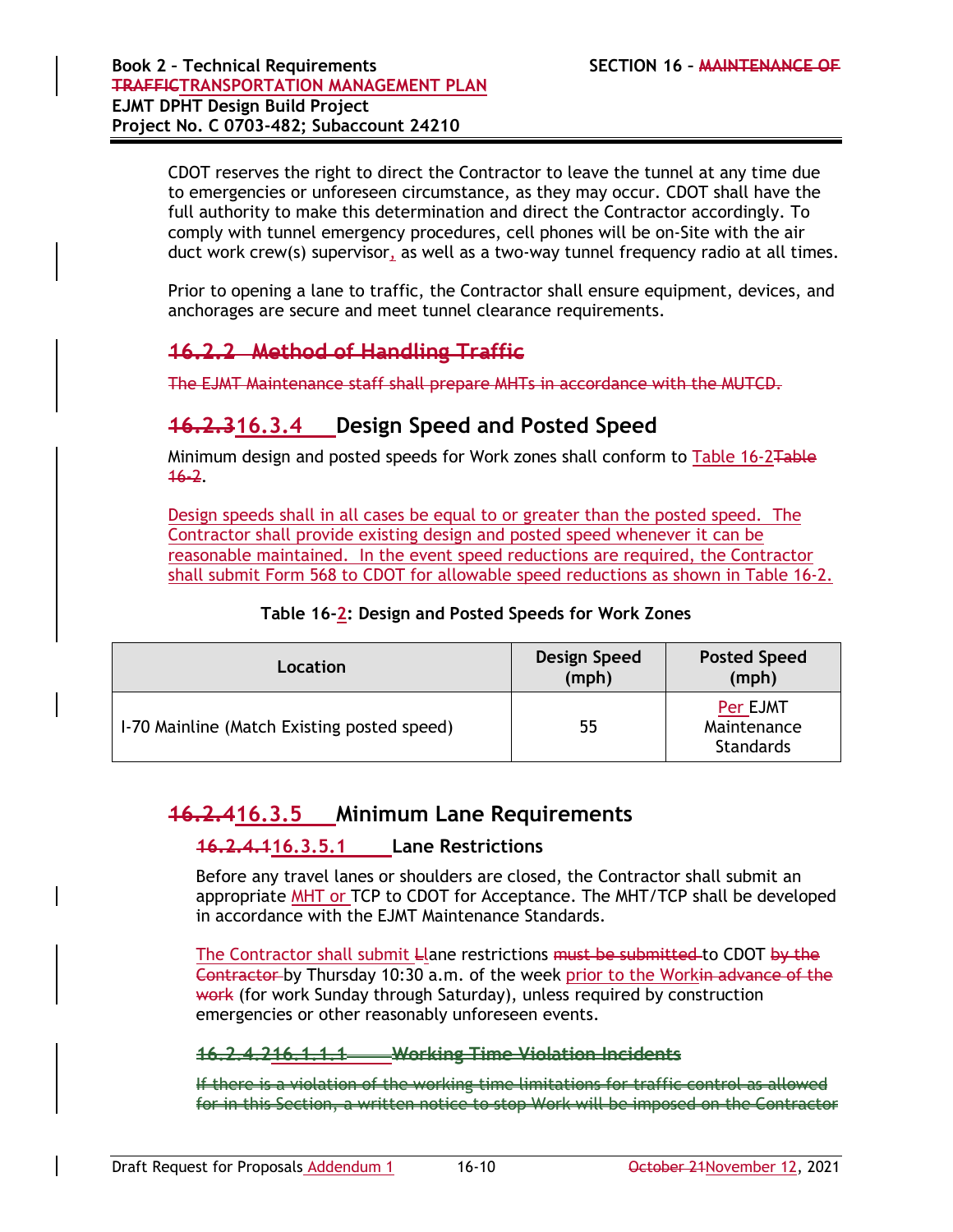CDOT reserves the right to direct the Contractor to leave the tunnel at any time due to emergencies or unforeseen circumstance, as they may occur. CDOT shall have the full authority to make this determination and direct the Contractor accordingly. To comply with tunnel emergency procedures, cell phones will be on-Site with the air duct work crew(s) supervisor, as well as a two-way tunnel frequency radio at all times.

Prior to opening a lane to traffic, the Contractor shall ensure equipment, devices, and anchorages are secure and meet tunnel clearance requirements.

### **16.2.2 Method of Handling Traffic**

The EJMT Maintenance staff shall prepare MHTs in accordance with the MUTCD.

### **16.2.316.3.4 Design Speed and Posted Speed**

Minimum design and posted speeds for Work zones shall conform to Table 16-2Table 16-2.

Design speeds shall in all cases be equal to or greater than the posted speed. The Contractor shall provide existing design and posted speed whenever it can be reasonable maintained. In the event speed reductions are required, the Contractor shall submit Form 568 to CDOT for allowable speed reductions as shown in Table 16-2.

#### **Table 16-2: Design and Posted Speeds for Work Zones**

| Location                                    | Design Speed<br>(mph) | <b>Posted Speed</b><br>(mph)                |
|---------------------------------------------|-----------------------|---------------------------------------------|
| 1-70 Mainline (Match Existing posted speed) | 55                    | Per EJMT<br>Maintenance<br><b>Standards</b> |

### **16.2.416.3.5 Minimum Lane Requirements**

#### **16.2.4.116.3.5.1 Lane Restrictions**

Before any travel lanes or shoulders are closed, the Contractor shall submit an appropriate MHT or TCP to CDOT for Acceptance. The MHT/TCP shall be developed in accordance with the EJMT Maintenance Standards.

The Contractor shall submit Llane restrictions must be submitted to CDOT by the Contractor by Thursday 10:30 a.m. of the week prior to the Workin advance of the work (for work Sunday through Saturday), unless required by construction emergencies or other reasonably unforeseen events.

#### **16.2.4.216.1.1.1 Working Time Violation Incidents**

If there is a violation of the working time limitations for traffic control as allowed for in this Section, a written notice to stop Work will be imposed on the Contractor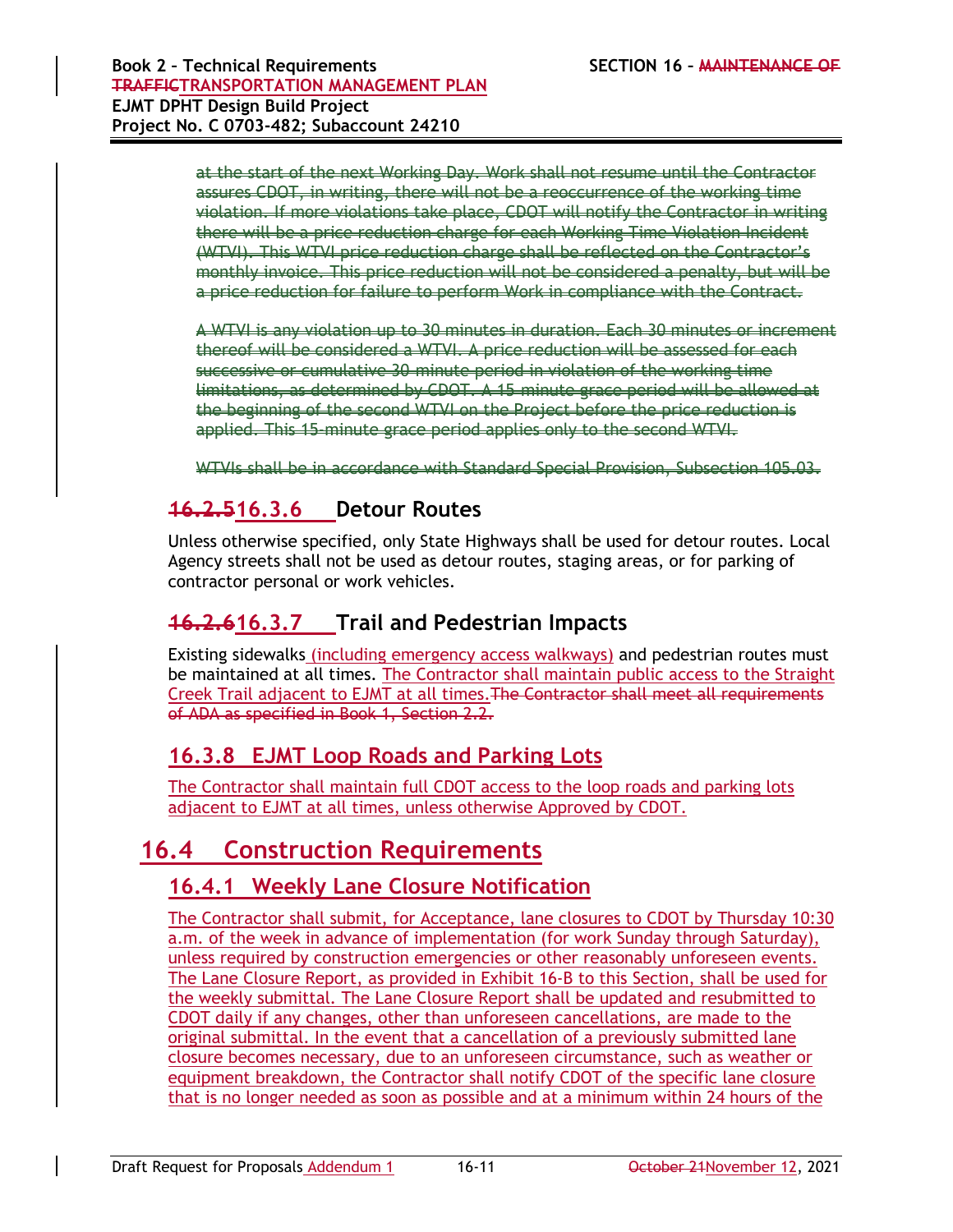at the start of the next Working Day. Work shall not resume until the Contractor assures CDOT, in writing, there will not be a reoccurrence of the working time violation. If more violations take place, CDOT will notify the Contractor in writing there will be a price reduction charge for each Working Time Violation Incident (WTVI). This WTVI price reduction charge shall be reflected on the Contractor's monthly invoice. This price reduction will not be considered a penalty, but will be a price reduction for failure to perform Work in compliance with the Contract.

A WTVI is any violation up to 30 minutes in duration. Each 30 minutes or increment thereof will be considered a WTVI. A price reduction will be assessed for each successive or cumulative 30-minute period in violation of the working time limitations, as determined by CDOT. A 15-minute grace period will be allowed at the beginning of the second WTVI on the Project before the price reduction is applied. This 15-minute grace period applies only to the second WTVI.

WTVIs shall be in accordance with Standard Special Provision, Subsection 105.03.

# **16.2.516.3.6 Detour Routes**

Unless otherwise specified, only State Highways shall be used for detour routes. Local Agency streets shall not be used as detour routes, staging areas, or for parking of contractor personal or work vehicles.

### **16.2.616.3.7 Trail and Pedestrian Impacts**

Existing sidewalks (including emergency access walkways) and pedestrian routes must be maintained at all times. The Contractor shall maintain public access to the Straight Creek Trail adjacent to EJMT at all times.The Contractor shall meet all requirements of ADA as specified in Book 1, Section 2.2.

### **16.3.8 EJMT Loop Roads and Parking Lots**

The Contractor shall maintain full CDOT access to the loop roads and parking lots adjacent to EJMT at all times, unless otherwise Approved by CDOT.

# **16.4 Construction Requirements**

### **16.4.1 Weekly Lane Closure Notification**

The Contractor shall submit, for Acceptance, lane closures to CDOT by Thursday 10:30 a.m. of the week in advance of implementation (for work Sunday through Saturday), unless required by construction emergencies or other reasonably unforeseen events. The Lane Closure Report, as provided in Exhibit 16-B to this Section, shall be used for the weekly submittal. The Lane Closure Report shall be updated and resubmitted to CDOT daily if any changes, other than unforeseen cancellations, are made to the original submittal. In the event that a cancellation of a previously submitted lane closure becomes necessary, due to an unforeseen circumstance, such as weather or equipment breakdown, the Contractor shall notify CDOT of the specific lane closure that is no longer needed as soon as possible and at a minimum within 24 hours of the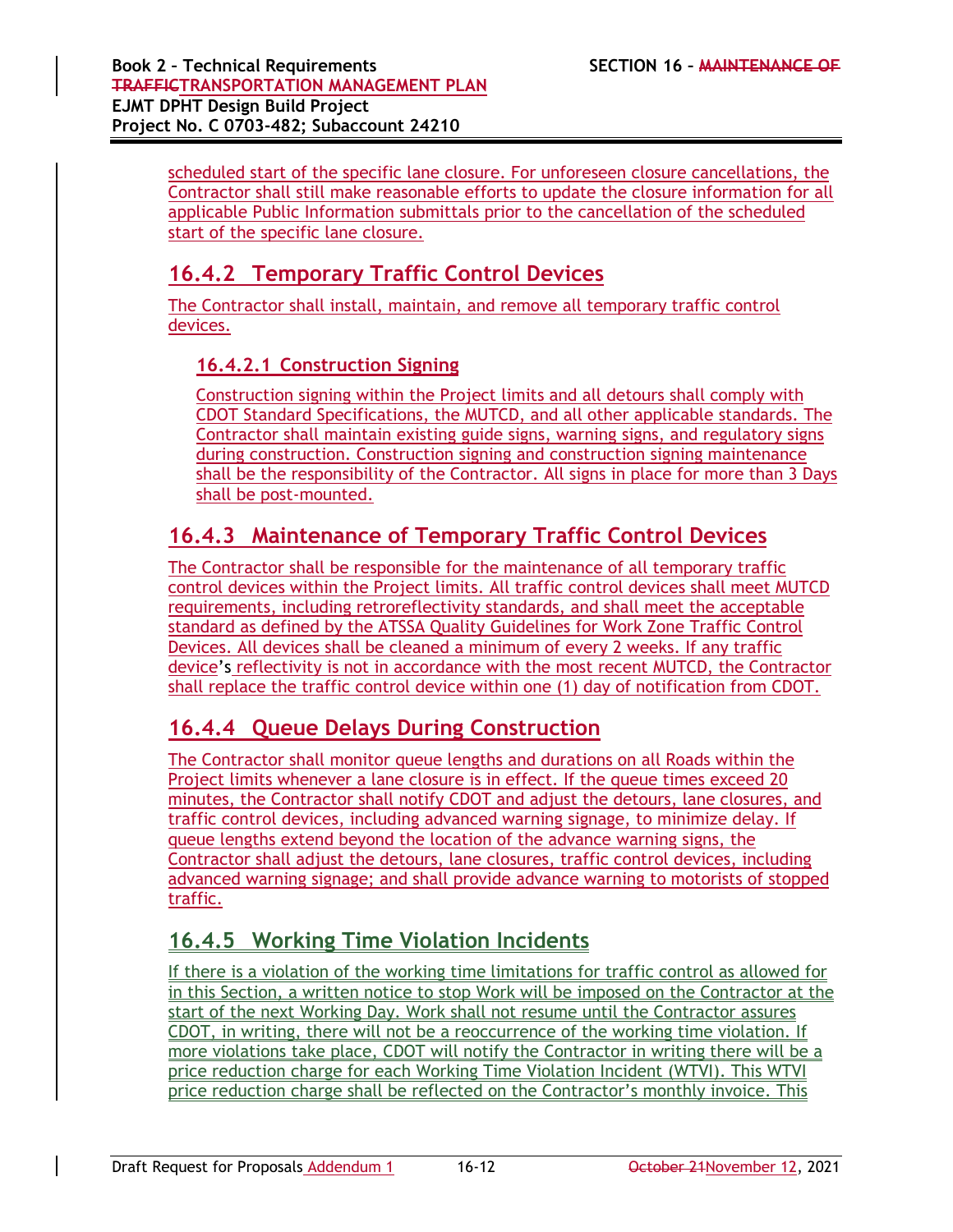scheduled start of the specific lane closure. For unforeseen closure cancellations, the Contractor shall still make reasonable efforts to update the closure information for all applicable Public Information submittals prior to the cancellation of the scheduled start of the specific lane closure.

## **16.4.2 Temporary Traffic Control Devices**

The Contractor shall install, maintain, and remove all temporary traffic control devices.

### **16.4.2.1 Construction Signing**

Construction signing within the Project limits and all detours shall comply with CDOT Standard Specifications, the MUTCD, and all other applicable standards. The Contractor shall maintain existing guide signs, warning signs, and regulatory signs during construction. Construction signing and construction signing maintenance shall be the responsibility of the Contractor. All signs in place for more than 3 Days shall be post-mounted.

## **16.4.3 Maintenance of Temporary Traffic Control Devices**

The Contractor shall be responsible for the maintenance of all temporary traffic control devices within the Project limits. All traffic control devices shall meet MUTCD requirements, including retroreflectivity standards, and shall meet the acceptable standard as defined by the ATSSA Quality Guidelines for Work Zone Traffic Control Devices. All devices shall be cleaned a minimum of every 2 weeks. If any traffic device's reflectivity is not in accordance with the most recent MUTCD, the Contractor shall replace the traffic control device within one (1) day of notification from CDOT.

### **16.4.4 Queue Delays During Construction**

The Contractor shall monitor queue lengths and durations on all Roads within the Project limits whenever a lane closure is in effect. If the queue times exceed 20 minutes, the Contractor shall notify CDOT and adjust the detours, lane closures, and traffic control devices, including advanced warning signage, to minimize delay. If queue lengths extend beyond the location of the advance warning signs, the Contractor shall adjust the detours, lane closures, traffic control devices, including advanced warning signage; and shall provide advance warning to motorists of stopped traffic.

## **16.4.5 Working Time Violation Incidents**

If there is a violation of the working time limitations for traffic control as allowed for in this Section, a written notice to stop Work will be imposed on the Contractor at the start of the next Working Day. Work shall not resume until the Contractor assures CDOT, in writing, there will not be a reoccurrence of the working time violation. If more violations take place, CDOT will notify the Contractor in writing there will be a price reduction charge for each Working Time Violation Incident (WTVI). This WTVI price reduction charge shall be reflected on the Contractor's monthly invoice. This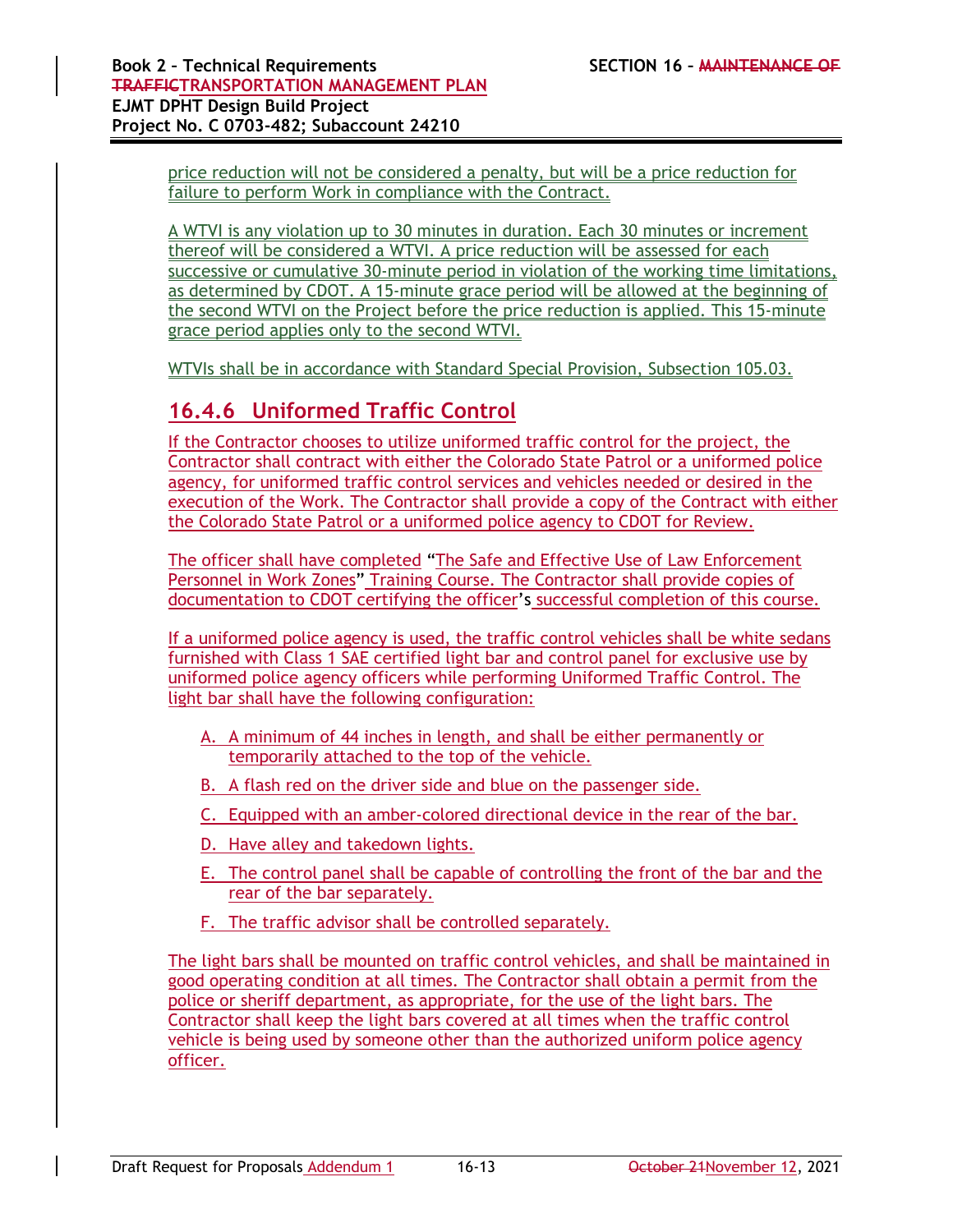price reduction will not be considered a penalty, but will be a price reduction for failure to perform Work in compliance with the Contract.

A WTVI is any violation up to 30 minutes in duration. Each 30 minutes or increment thereof will be considered a WTVI. A price reduction will be assessed for each successive or cumulative 30-minute period in violation of the working time limitations, as determined by CDOT. A 15-minute grace period will be allowed at the beginning of the second WTVI on the Project before the price reduction is applied. This 15-minute grace period applies only to the second WTVI.

WTVIs shall be in accordance with Standard Special Provision, Subsection 105.03.

## **16.4.6 Uniformed Traffic Control**

If the Contractor chooses to utilize uniformed traffic control for the project, the Contractor shall contract with either the Colorado State Patrol or a uniformed police agency, for uniformed traffic control services and vehicles needed or desired in the execution of the Work. The Contractor shall provide a copy of the Contract with either the Colorado State Patrol or a uniformed police agency to CDOT for Review.

The officer shall have completed "The Safe and Effective Use of Law Enforcement Personnel in Work Zones" Training Course. The Contractor shall provide copies of documentation to CDOT certifying the officer's successful completion of this course.

If a uniformed police agency is used, the traffic control vehicles shall be white sedans furnished with Class 1 SAE certified light bar and control panel for exclusive use by uniformed police agency officers while performing Uniformed Traffic Control. The light bar shall have the following configuration:

- A. A minimum of 44 inches in length, and shall be either permanently or temporarily attached to the top of the vehicle.
- B. A flash red on the driver side and blue on the passenger side.
- C. Equipped with an amber-colored directional device in the rear of the bar.
- D. Have alley and takedown lights.
- E. The control panel shall be capable of controlling the front of the bar and the rear of the bar separately.
- F. The traffic advisor shall be controlled separately.

The light bars shall be mounted on traffic control vehicles, and shall be maintained in good operating condition at all times. The Contractor shall obtain a permit from the police or sheriff department, as appropriate, for the use of the light bars. The Contractor shall keep the light bars covered at all times when the traffic control vehicle is being used by someone other than the authorized uniform police agency officer.